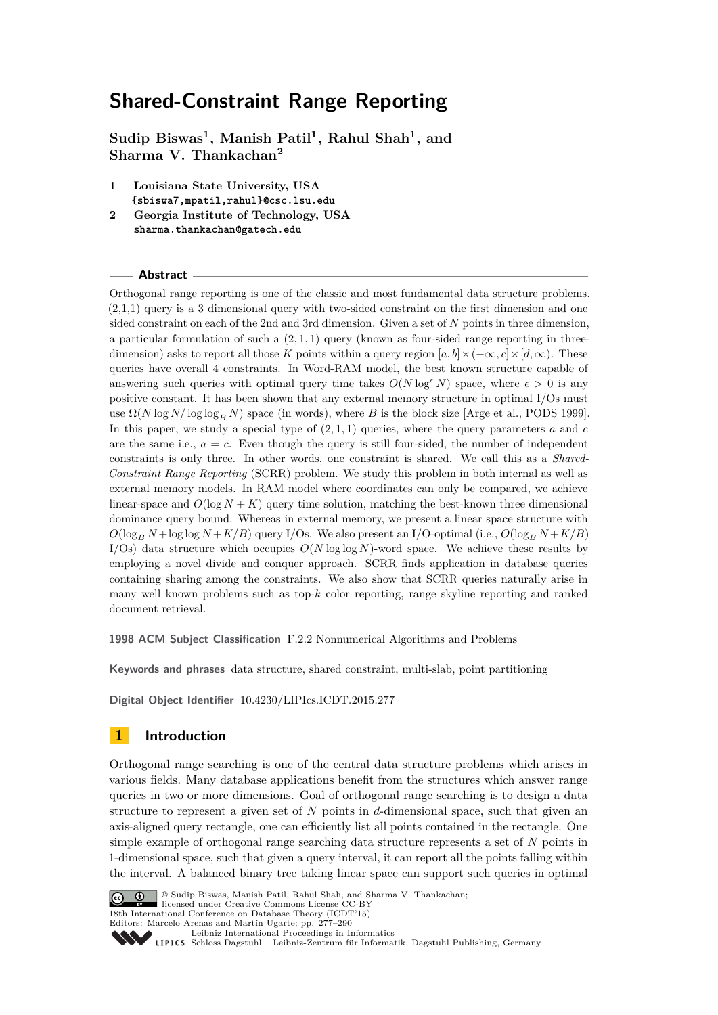**Sudip Biswas<sup>1</sup> , Manish Patil<sup>1</sup> , Rahul Shah<sup>1</sup> , and Sharma V. Thankachan<sup>2</sup>**

- **1 Louisiana State University, USA {sbiswa7,mpatil,rahul}@csc.lsu.edu**
- **2 Georgia Institute of Technology, USA sharma.thankachan@gatech.edu**

### **Abstract**

Orthogonal range reporting is one of the classic and most fundamental data structure problems. (2,1,1) query is a 3 dimensional query with two-sided constraint on the first dimension and one sided constraint on each of the 2nd and 3rd dimension. Given a set of *N* points in three dimension, a particular formulation of such a (2*,* 1*,* 1) query (known as four-sided range reporting in threedimension) asks to report all those K points within a query region  $[a, b] \times (-\infty, c] \times [d, \infty)$ . These queries have overall 4 constraints. In Word-RAM model, the best known structure capable of answering such queries with optimal query time takes  $O(N \log^{\epsilon} N)$  space, where  $\epsilon > 0$  is any positive constant. It has been shown that any external memory structure in optimal I/Os must use Ω(*N* log *N/* log log*<sup>B</sup> N*) space (in words), where *B* is the block size [Arge et al., PODS 1999]. In this paper, we study a special type of  $(2, 1, 1)$  queries, where the query parameters  $a$  and  $c$ are the same i.e.,  $a = c$ . Even though the query is still four-sided, the number of independent constraints is only three. In other words, one constraint is shared. We call this as a *Shared-Constraint Range Reporting* (SCRR) problem. We study this problem in both internal as well as external memory models. In RAM model where coordinates can only be compared, we achieve linear-space and  $O(\log N + K)$  query time solution, matching the best-known three dimensional dominance query bound. Whereas in external memory, we present a linear space structure with  $O(\log_B N + \log \log N + K/B)$  query I/Os. We also present an I/O-optimal (i.e.,  $O(\log_B N + K/B)$  $I/Os$ ) data structure which occupies  $O(N \log \log N)$ -word space. We achieve these results by employing a novel divide and conquer approach. SCRR finds application in database queries containing sharing among the constraints. We also show that SCRR queries naturally arise in many well known problems such as top-*k* color reporting, range skyline reporting and ranked document retrieval.

**1998 ACM Subject Classification** F.2.2 Nonnumerical Algorithms and Problems

**Keywords and phrases** data structure, shared constraint, multi-slab, point partitioning

**Digital Object Identifier** [10.4230/LIPIcs.ICDT.2015.277](http://dx.doi.org/10.4230/LIPIcs.ICDT.2015.277)

# **1 Introduction**

Orthogonal range searching is one of the central data structure problems which arises in various fields. Many database applications benefit from the structures which answer range queries in two or more dimensions. Goal of orthogonal range searching is to design a data structure to represent a given set of *N* points in *d*-dimensional space, such that given an axis-aligned query rectangle, one can efficiently list all points contained in the rectangle. One simple example of orthogonal range searching data structure represents a set of *N* points in 1-dimensional space, such that given a query interval, it can report all the points falling within the interval. A balanced binary tree taking linear space can support such queries in optimal



© Sudip Biswas, Manish Patil, Rahul Shah, and Sharma V. Thankachan; licensed under Creative Commons License CC-BY

18th International Conference on Database Theory (ICDT'15).

Editors: Marcelo Arenas and Martín Ugarte; pp. 277[–290](#page-13-0)

[Leibniz International Proceedings in Informatics](http://www.dagstuhl.de/lipics/)

Leibniz International Froceedings in miormatics<br>
LIPICS [Schloss Dagstuhl – Leibniz-Zentrum für Informatik, Dagstuhl Publishing, Germany](http://www.dagstuhl.de)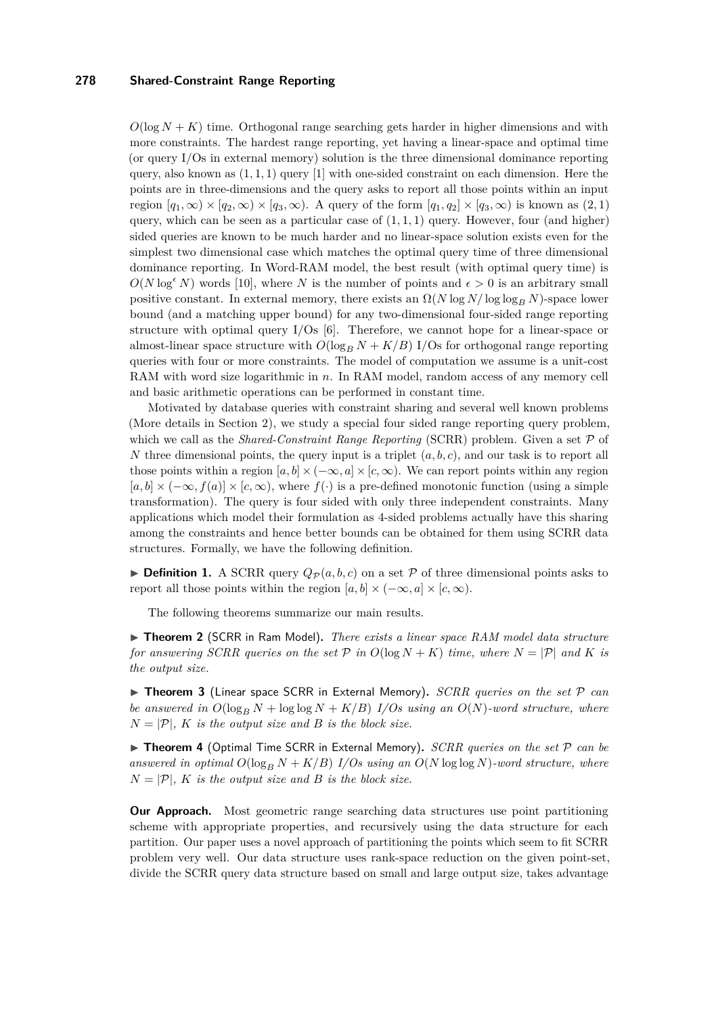$O(\log N + K)$  time. Orthogonal range searching gets harder in higher dimensions and with more constraints. The hardest range reporting, yet having a linear-space and optimal time (or query I/Os in external memory) solution is the three dimensional dominance reporting query, also known as (1*,* 1*,* 1) query [\[1\]](#page-12-0) with one-sided constraint on each dimension. Here the points are in three-dimensions and the query asks to report all those points within an input region  $[q_1, \infty) \times [q_2, \infty) \times [q_3, \infty)$ . A query of the form  $[q_1, q_2] \times [q_3, \infty)$  is known as  $(2, 1)$ query, which can be seen as a particular case of  $(1, 1, 1)$  query. However, four (and higher) sided queries are known to be much harder and no linear-space solution exists even for the simplest two dimensional case which matches the optimal query time of three dimensional dominance reporting. In Word-RAM model, the best result (with optimal query time) is  $O(N \log^{\epsilon} N)$  words [\[10\]](#page-12-1), where *N* is the number of points and  $\epsilon > 0$  is an arbitrary small positive constant. In external memory, there exists an  $\Omega(N \log N / \log \log B N)$ -space lower bound (and a matching upper bound) for any two-dimensional four-sided range reporting structure with optimal query  $I/Os$  [\[6\]](#page-12-2). Therefore, we cannot hope for a linear-space or almost-linear space structure with  $O(\log_B N + K/B)$  I/Os for orthogonal range reporting queries with four or more constraints. The model of computation we assume is a unit-cost RAM with word size logarithmic in *n*. In RAM model, random access of any memory cell and basic arithmetic operations can be performed in constant time.

Motivated by database queries with constraint sharing and several well known problems (More details in Section [2\)](#page-2-0), we study a special four sided range reporting query problem, which we call as the *Shared-Constraint Range Reporting* (SCRR) problem. Given a set  $P$  of *N* three dimensional points, the query input is a triplet  $(a, b, c)$ , and our task is to report all those points within a region  $[a, b] \times (-\infty, a] \times [c, \infty)$ . We can report points within any region  $[a, b] \times (-\infty, f(a)] \times [c, \infty)$ , where  $f(\cdot)$  is a pre-defined monotonic function (using a simple transformation). The query is four sided with only three independent constraints. Many applications which model their formulation as 4-sided problems actually have this sharing among the constraints and hence better bounds can be obtained for them using SCRR data structures. Formally, we have the following definition.

**Definition 1.** A SCRR query  $Q_{\mathcal{P}}(a, b, c)$  on a set P of three dimensional points asks to report all those points within the region  $[a, b] \times (-\infty, a] \times [c, \infty)$ .

The following theorems summarize our main results.

<span id="page-1-0"></span>▶ **Theorem 2** (SCRR in Ram Model). *There exists a linear space RAM model data structure for answering SCRR queries on the set*  $P$  *in*  $O(\log N + K)$  *time, where*  $N = |P|$  *and*  $K$  *is the output size.*

<span id="page-1-1"></span>▶ **Theorem 3** (Linear space SCRR in External Memory). *SCRR queries on the set* P *can be answered in*  $O(\log_B N + \log \log N + K/B)$  *I/Os using an*  $O(N)$ *-word structure, where*  $N = |\mathcal{P}|$ , *K is the output size and B is the block size.* 

<span id="page-1-2"></span>▶ Theorem 4 (Optimal Time SCRR in External Memory). *SCRR queries on the set*  $P$  *can be* answered in optimal  $O(\log_B N + K/B)$  *I/Os using an*  $O(N \log \log N)$ *-word structure, where*  $N = |\mathcal{P}|$ , *K is the output size and B is the block size.* 

**Our Approach.** Most geometric range searching data structures use point partitioning scheme with appropriate properties, and recursively using the data structure for each partition. Our paper uses a novel approach of partitioning the points which seem to fit SCRR problem very well. Our data structure uses rank-space reduction on the given point-set, divide the SCRR query data structure based on small and large output size, takes advantage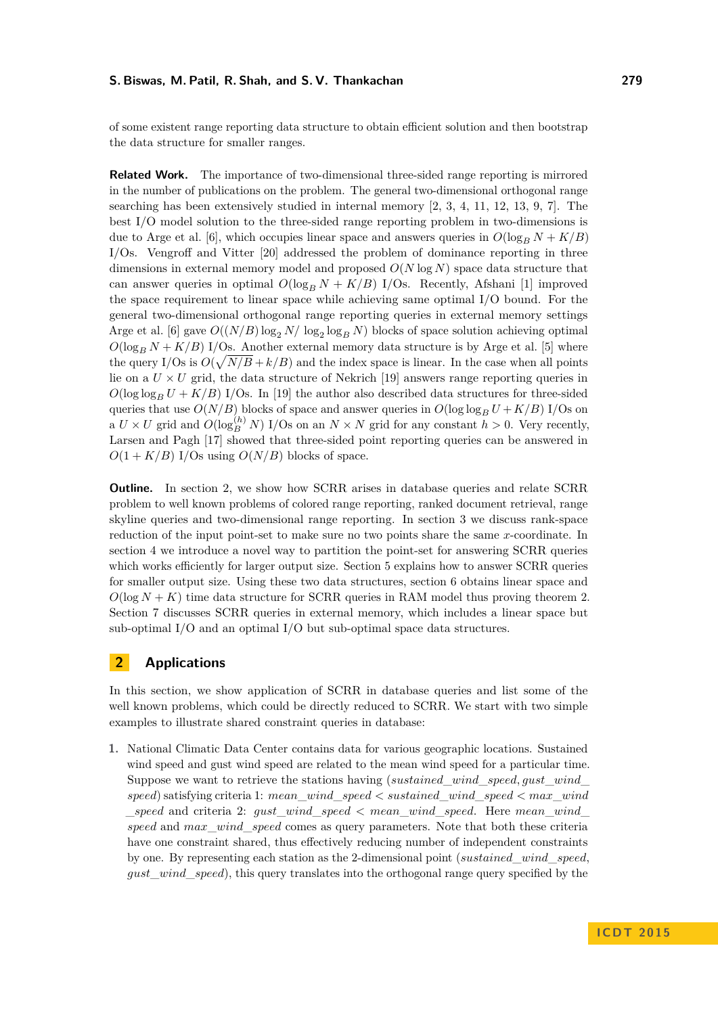of some existent range reporting data structure to obtain efficient solution and then bootstrap the data structure for smaller ranges.

**Related Work.** The importance of two-dimensional three-sided range reporting is mirrored in the number of publications on the problem. The general two-dimensional orthogonal range searching has been extensively studied in internal memory [\[2,](#page-12-3) [3,](#page-12-4) [4,](#page-12-5) [11,](#page-12-6) [12,](#page-12-7) [13,](#page-12-8) [9,](#page-12-9) [7\]](#page-12-10). The best I/O model solution to the three-sided range reporting problem in two-dimensions is due to Arge et al. [\[6\]](#page-12-2), which occupies linear space and answers queries in  $O(\log_R N + K/B)$ I/Os. Vengroff and Vitter [\[20\]](#page-13-1) addressed the problem of dominance reporting in three dimensions in external memory model and proposed *O*(*N* log *N*) space data structure that can answer queries in optimal  $O(\log_B N + K/B)$  I/Os. Recently, Afshani [\[1\]](#page-12-0) improved the space requirement to linear space while achieving same optimal I/O bound. For the general two-dimensional orthogonal range reporting queries in external memory settings Arge et al. [\[6\]](#page-12-2) gave  $O((N/B) \log_2 N/\log_2 \log_B N)$  blocks of space solution achieving optimal  $O(\log_B N + K/B)$  I/Os. Another external memory data structure is by Arge et al. [\[5\]](#page-12-11) where the query I/Os is  $O(\sqrt{N/B} + k/B)$  and the index space is linear. In the case when all points lie on a  $U \times U$  grid, the data structure of Nekrich [\[19\]](#page-13-2) answers range reporting queries in  $O(\log \log_B U + K/B)$  I/Os. In [\[19\]](#page-13-2) the author also described data structures for three-sided queries that use  $O(N/B)$  blocks of space and answer queries in  $O(\log \log_B U + K/B)$  I/Os on a  $U \times U$  grid and  $O(\log_B^{(h)} N)$  I/Os on an  $N \times N$  grid for any constant  $h > 0$ . Very recently, Larsen and Pagh [\[17\]](#page-13-3) showed that three-sided point reporting queries can be answered in  $O(1 + K/B)$  I/Os using  $O(N/B)$  blocks of space.

**Outline.** In section [2,](#page-2-0) we show how SCRR arises in database queries and relate SCRR problem to well known problems of colored range reporting, ranked document retrieval, range skyline queries and two-dimensional range reporting. In section [3](#page-4-0) we discuss rank-space reduction of the input point-set to make sure no two points share the same *x*-coordinate. In section [4](#page-5-0) we introduce a novel way to partition the point-set for answering SCRR queries which works efficiently for larger output size. Section [5](#page-6-0) explains how to answer SCRR queries for smaller output size. Using these two data structures, section [6](#page-9-0) obtains linear space and  $O(\log N + K)$  time data structure for SCRR queries in RAM model thus proving theorem [2.](#page-1-0) Section [7](#page-10-0) discusses SCRR queries in external memory, which includes a linear space but sub-optimal I/O and an optimal I/O but sub-optimal space data structures.

# <span id="page-2-0"></span>**2 Applications**

In this section, we show application of SCRR in database queries and list some of the well known problems, which could be directly reduced to SCRR. We start with two simple examples to illustrate shared constraint queries in database:

**1.** National Climatic Data Center contains data for various geographic locations. Sustained wind speed and gust wind speed are related to the mean wind speed for a particular time. Suppose we want to retrieve the stations having (*sustained*\_*wind*\_*speed, gust*\_*wind*\_ *speed*) satisfying criteria 1: *mean*\_*wind*\_*speed < sustained*\_*wind*\_*speed < max*\_*wind* \_*speed* and criteria 2: *gust*\_*wind*\_*speed < mean*\_*wind*\_*speed*. Here *mean*\_*wind*\_ *speed* and *max*\_*wind*\_*speed* comes as query parameters. Note that both these criteria have one constraint shared, thus effectively reducing number of independent constraints by one. By representing each station as the 2-dimensional point (*sustained*\_*wind*\_*speed*, *gust*\_*wind*\_*speed*), this query translates into the orthogonal range query specified by the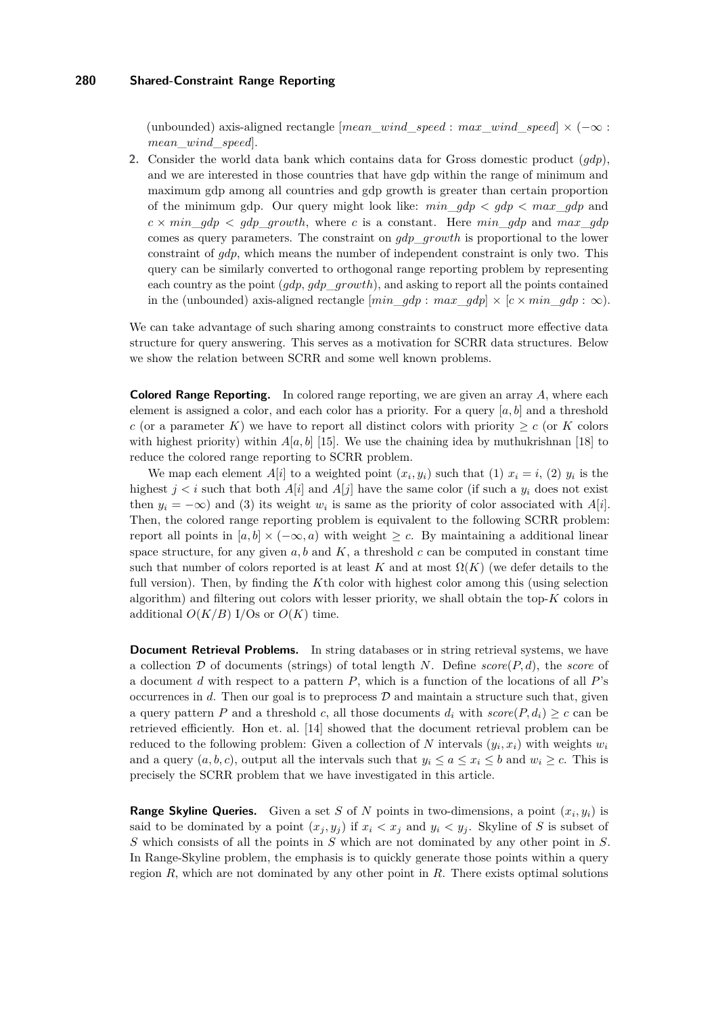(unbounded) axis-aligned rectangle [*mean*\_*wind*\_*speed* : *max*\_*wind*\_*speed*] × (−∞ : *mean*\_*wind*\_*speed*].

**2.** Consider the world data bank which contains data for Gross domestic product (*gdp*), and we are interested in those countries that have gdp within the range of minimum and maximum gdp among all countries and gdp growth is greater than certain proportion of the minimum gdp. Our query might look like:  $min$   $qdp < qdp < max$   $qdp$  and  $c \times min$  *gdp*  $\lt q$  *gdp growth*, where *c* is a constant. Here *min gdp* and *max gdp* comes as query parameters. The constraint on *gdp*\_*growth* is proportional to the lower constraint of *gdp*, which means the number of independent constraint is only two. This query can be similarly converted to orthogonal range reporting problem by representing each country as the point (*gdp*, *gdp*\_*growth*), and asking to report all the points contained in the (unbounded) axis-aligned rectangle  $\left[\begin{array}{ccc} min & qdp : max & qdp \end{array}\right] \times \left[\begin{array}{ccc} c \times min & qdp : \infty \end{array}\right].$ 

We can take advantage of such sharing among constraints to construct more effective data structure for query answering. This serves as a motivation for SCRR data structures. Below we show the relation between SCRR and some well known problems.

**Colored Range Reporting.** In colored range reporting, we are given an array *A*, where each element is assigned a color, and each color has a priority. For a query [*a, b*] and a threshold *c* (or a parameter *K*) we have to report all distinct colors with priority  $\geq c$  (or *K* colors with highest priority) within  $A[a, b]$  [\[15\]](#page-12-12). We use the chaining idea by muthukrishnan [\[18\]](#page-13-4) to reduce the colored range reporting to SCRR problem.

We map each element  $A[i]$  to a weighted point  $(x_i, y_i)$  such that (1)  $x_i = i$ , (2)  $y_i$  is the highest  $j < i$  such that both  $A[i]$  and  $A[j]$  have the same color (if such a  $y_i$  does not exist then  $y_i = -\infty$ ) and (3) its weight  $w_i$  is same as the priority of color associated with  $A[i]$ . Then, the colored range reporting problem is equivalent to the following SCRR problem: report all points in  $[a, b] \times (-\infty, a)$  with weight  $\geq c$ . By maintaining a additional linear space structure, for any given  $a, b$  and  $K$ , a threshold  $c$  can be computed in constant time such that number of colors reported is at least *K* and at most  $\Omega(K)$  (we defer details to the full version). Then, by finding the *K*th color with highest color among this (using selection algorithm) and filtering out colors with lesser priority, we shall obtain the top-*K* colors in additional  $O(K/B)$  I/Os or  $O(K)$  time.

**Document Retrieval Problems.** In string databases or in string retrieval systems, we have a collection D of documents (strings) of total length *N*. Define *score*(*P, d*), the *score* of a document *d* with respect to a pattern *P*, which is a function of the locations of all *P*'s occurrences in  $d$ . Then our goal is to preprocess  $\mathcal D$  and maintain a structure such that, given a query pattern *P* and a threshold *c*, all those documents  $d_i$  with  $score(P, d_i) \geq c$  can be retrieved efficiently. Hon et. al. [\[14\]](#page-12-13) showed that the document retrieval problem can be reduced to the following problem: Given a collection of *N* intervals  $(y_i, x_i)$  with weights  $w_i$ and a query  $(a, b, c)$ , output all the intervals such that  $y_i \le a \le x_i \le b$  and  $w_i \ge c$ . This is precisely the SCRR problem that we have investigated in this article.

**Range Skyline Queries.** Given a set *S* of *N* points in two-dimensions, a point  $(x_i, y_i)$  is said to be dominated by a point  $(x_j, y_j)$  if  $x_i < x_j$  and  $y_i < y_j$ . Skyline of *S* is subset of *S* which consists of all the points in *S* which are not dominated by any other point in *S*. In Range-Skyline problem, the emphasis is to quickly generate those points within a query region *R*, which are not dominated by any other point in *R*. There exists optimal solutions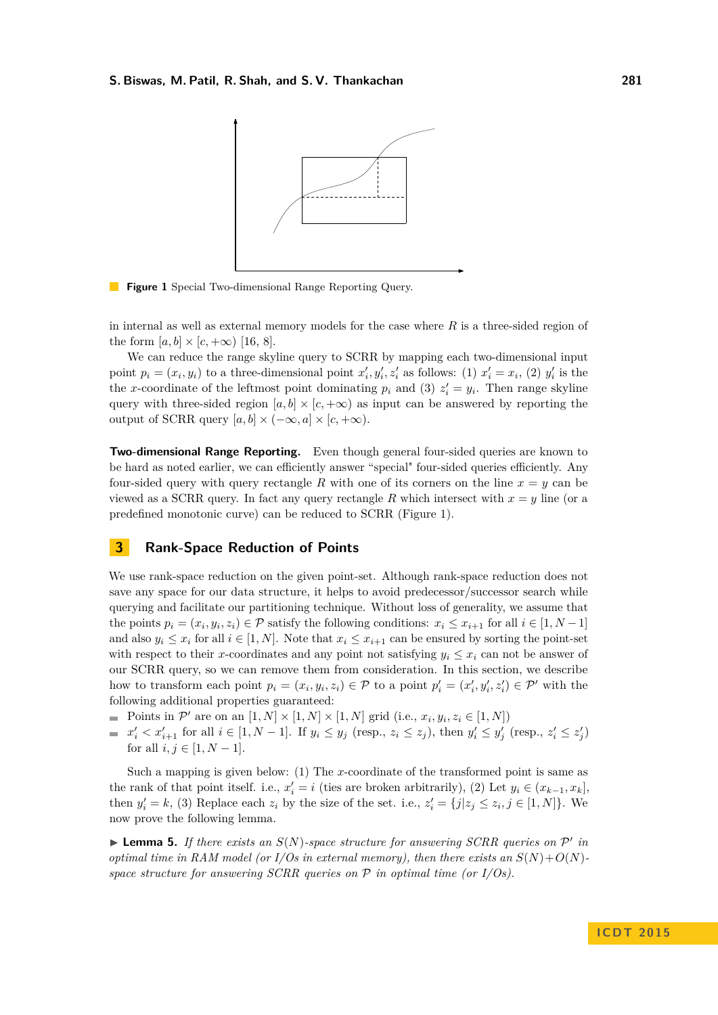<span id="page-4-1"></span>

**Figure 1** Special Two-dimensional Range Reporting Query.

in internal as well as external memory models for the case where *R* is a three-sided region of the form  $[a, b] \times [c, +\infty)$  [\[16,](#page-13-5) [8\]](#page-12-14).

We can reduce the range skyline query to SCRR by mapping each two-dimensional input point  $p_i = (x_i, y_i)$  to a three-dimensional point  $x'_i, y'_i, z'_i$  as follows: (1)  $x'_i = x_i$ , (2)  $y'_i$  is the the *x*-coordinate of the leftmost point dominating  $p_i$  and (3)  $z'_i = y_i$ . Then range skyline query with three-sided region  $[a, b] \times [c, +\infty)$  as input can be answered by reporting the output of SCRR query  $[a, b] \times (-\infty, a] \times [c, +\infty)$ .

**Two-dimensional Range Reporting.** Even though general four-sided queries are known to be hard as noted earlier, we can efficiently answer "special" four-sided queries efficiently. Any four-sided query with query rectangle R with one of its corners on the line  $x = y$  can be viewed as a SCRR query. In fact any query rectangle R which intersect with  $x = y$  line (or a predefined monotonic curve) can be reduced to SCRR (Figure [1\)](#page-4-1).

# <span id="page-4-0"></span>**3 Rank-Space Reduction of Points**

We use rank-space reduction on the given point-set. Although rank-space reduction does not save any space for our data structure, it helps to avoid predecessor/successor search while querying and facilitate our partitioning technique. Without loss of generality, we assume that the points  $p_i = (x_i, y_i, z_i) \in \mathcal{P}$  satisfy the following conditions:  $x_i \le x_{i+1}$  for all  $i \in [1, N-1]$ and also  $y_i \leq x_i$  for all  $i \in [1, N]$ . Note that  $x_i \leq x_{i+1}$  can be ensured by sorting the point-set with respect to their *x*-coordinates and any point not satisfying  $y_i \leq x_i$  can not be answer of our SCRR query, so we can remove them from consideration. In this section, we describe how to transform each point  $p_i = (x_i, y_i, z_i) \in \mathcal{P}$  to a point  $p'_i = (x'_i, y'_i, z'_i) \in \mathcal{P}'$  with the following additional properties guaranteed:

- Points in  $\mathcal{P}'$  are on an  $[1, N] \times [1, N] \times [1, N]$  grid (i.e.,  $x_i, y_i, z_i \in [1, N]$ )
- $x'_i < x'_{i+1}$  for all  $i \in [1, N-1]$ . If  $y_i \le y_j$  (resp.,  $z_i \le z_j$ ), then  $y'_i \le y'_j$  (resp.,  $z'_i \le z'_j$ ) for all  $i, j \in [1, N - 1]$ .

Such a mapping is given below: (1) The *x*-coordinate of the transformed point is same as the rank of that point itself. i.e.,  $x'_i = i$  (ties are broken arbitrarily), (2) Let  $y_i \in (x_{k-1}, x_k]$ , then  $y'_i = k$ , (3) Replace each  $z_i$  by the size of the set. i.e.,  $z'_i = \{j | z_j \le z_i, j \in [1, N]\}$ . We now prove the following lemma.

**Lemma 5.** If there exists an  $S(N)$ -space structure for answering SCRR queries on  $P'$  in *optimal time in RAM model (or I/Os in external memory), then there exists an*  $S(N) + O(N)$ *space structure for answering SCRR queries on* P *in optimal time (or I/Os).*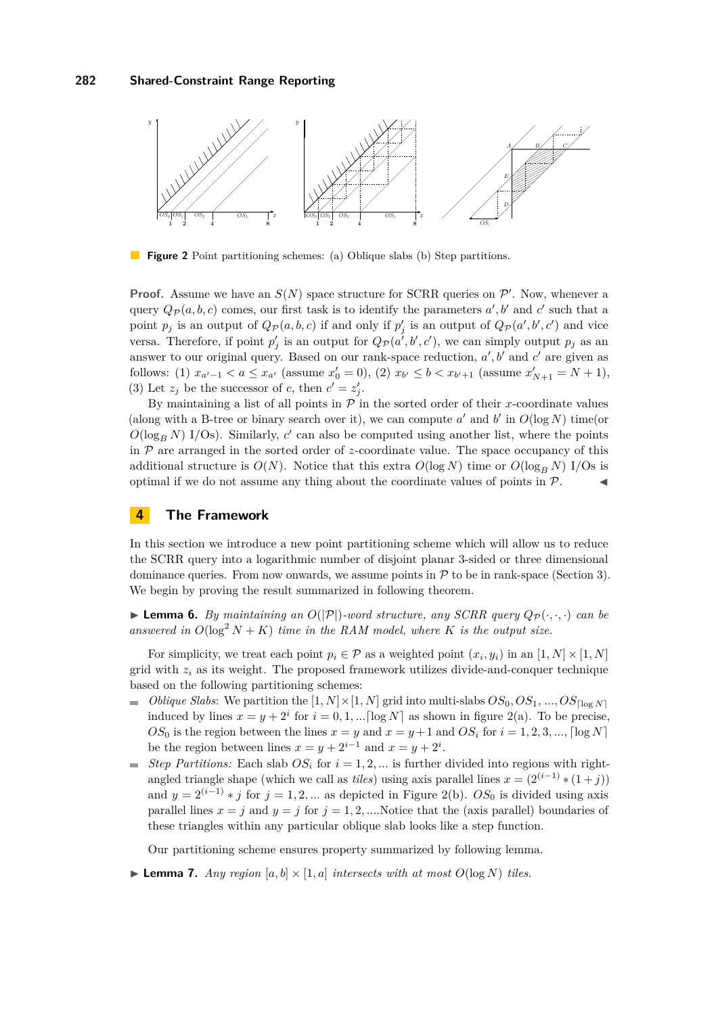<span id="page-5-1"></span>

**Figure 2** Point partitioning schemes: (a) Oblique slabs (b) Step partitions.

**Proof.** Assume we have an  $S(N)$  space structure for SCRR queries on  $\mathcal{P}'$ . Now, whenever a query  $Q_{\mathcal{P}}(a, b, c)$  comes, our first task is to identify the parameters  $a', b'$  and  $c'$  such that a point  $p_j$  is an output of  $Q_p(a, b, c)$  if and only if  $p'_j$  is an output of  $Q_p(a', b', c')$  and vice versa. Therefore, if point  $p'_j$  is an output for  $Q_{\mathcal{P}}(a',b',c')$ , we can simply output  $p_j$  as an answer to our original query. Based on our rank-space reduction,  $a', b'$  and  $c'$  are given as follows: (1)  $x_{a'-1} < a \le x_{a'}$  (assume  $x'_0 = 0$ ), (2)  $x_{b'} \le b < x_{b'+1}$  (assume  $x'_{N+1} = N + 1$ ), (3) Let  $z_j$  be the successor of *c*, then  $c' = z'_j$ .

By maintaining a list of all points in  $P$  in the sorted order of their *x*-coordinate values (along with a B-tree or binary search over it), we can compute  $a'$  and  $b'$  in  $O(\log N)$  time(or  $O(\log_B N)$  I/Os). Similarly,  $c'$  can also be computed using another list, where the points in  $P$  are arranged in the sorted order of *z*-coordinate value. The space occupancy of this additional structure is  $O(N)$ . Notice that this extra  $O(\log N)$  time or  $O(\log_B N)$  I/Os is optimal if we do not assume any thing about the coordinate values of points in  $P$ .

# <span id="page-5-0"></span>**4 The Framework**

In this section we introduce a new point partitioning scheme which will allow us to reduce the SCRR query into a logarithmic number of disjoint planar 3-sided or three dimensional dominance queries. From now onwards, we assume points in  $P$  to be in rank-space (Section [3\)](#page-4-0). We begin by proving the result summarized in following theorem.

<span id="page-5-3"></span> $\blacktriangleright$  **Lemma 6.** *By maintaining an*  $O(|P|)$ *-word structure, any SCRR query*  $Q_P(\cdot, \cdot, \cdot)$  *can be* answered in  $O(\log^2 N + K)$  *time in the RAM model, where K is the output size.* 

For simplicity, we treat each point  $p_i \in \mathcal{P}$  as a weighted point  $(x_i, y_i)$  in an  $[1, N] \times [1, N]$ grid with  $z_i$  as its weight. The proposed framework utilizes divide-and-conquer technique based on the following partitioning schemes:

- *Oblique Slabs*: We partition the  $[1, N] \times [1, N]$  grid into multi-slabs  $OS_0, OS_1, ..., OS_{\text{[log } N]}$  $\overline{a}$ induced by lines  $x = y + 2^i$  for  $i = 0, 1, ... \lfloor \log N \rfloor$  as shown in figure [2\(](#page-5-1)a). To be precise,  $OS_0$  is the region between the lines  $x = y$  and  $x = y + 1$  and  $OS_i$  for  $i = 1, 2, 3, \dots$ ,  $\lceil \log N \rceil$ be the region between lines  $x = y + 2^{i-1}$  and  $x = y + 2^i$ .
- *Step Partitions:* Each slab  $OS_i$  for  $i = 1, 2, \ldots$  is further divided into regions with right- $\overline{a}$ angled triangle shape (which we call as *tiles*) using axis parallel lines  $x = (2^{(i-1)} * (1+j))$ and  $y = 2^{(i-1)} * j$  for  $j = 1, 2, ...$  as depicted in Figure [2\(](#page-5-1)b). *OS*<sub>0</sub> is divided using axis parallel lines  $x = j$  and  $y = j$  for  $j = 1, 2, ...$  Notice that the (axis parallel) boundaries of these triangles within any particular oblique slab looks like a step function.

Our partitioning scheme ensures property summarized by following lemma.

<span id="page-5-2"></span> $\blacktriangleright$  **Lemma 7.** *Any region* [a, b]  $\times$  [1, a] *intersects with at most*  $O(\log N)$  *tiles.*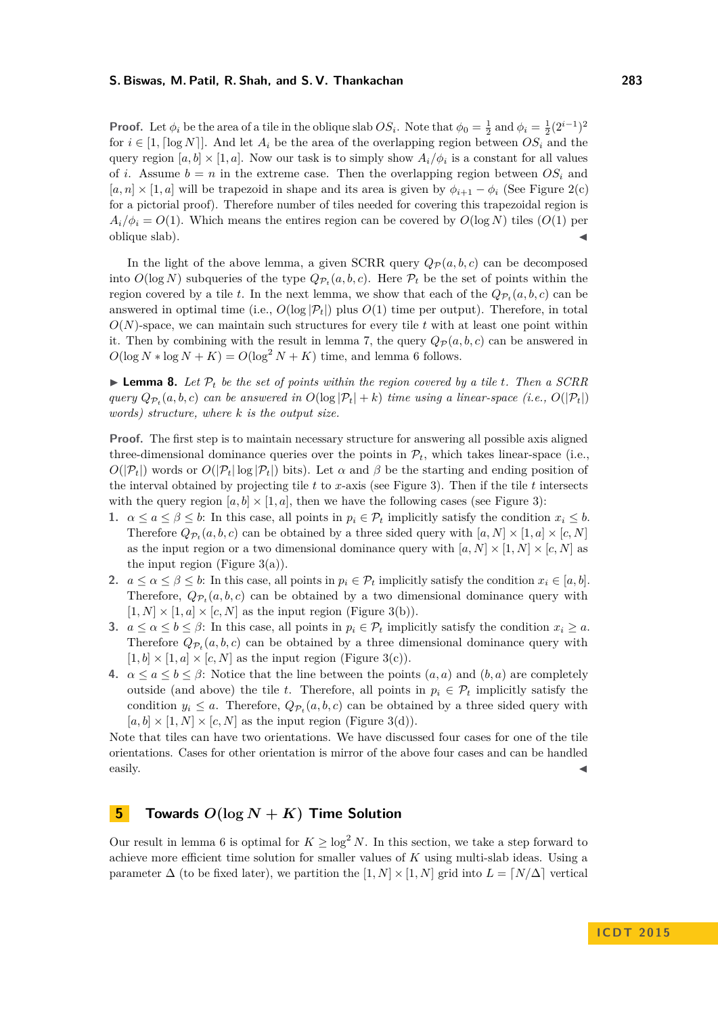**Proof.** Let  $\phi_i$  be the area of a tile in the oblique slab  $OS_i$ . Note that  $\phi_0 = \frac{1}{2}$  and  $\phi_i = \frac{1}{2}(2^{i-1})^2$ for  $i \in [1, \lceil \log N \rceil]$ . And let  $A_i$  be the area of the overlapping region between  $OS_i$  and the query region  $[a, b] \times [1, a]$ . Now our task is to simply show  $A_i/\phi_i$  is a constant for all values of *i*. Assume  $b = n$  in the extreme case. Then the overlapping region between  $OS<sub>i</sub>$  and  $[a, n] \times [1, a]$  will be trapezoid in shape and its area is given by  $\phi_{i+1} - \phi_i$  (See Figure [2\(](#page-5-1)c) for a pictorial proof). Therefore number of tiles needed for covering this trapezoidal region is  $A_i/\phi_i = O(1)$ . Which means the entires region can be covered by  $O(\log N)$  tiles  $O(1)$  per oblique slab).

In the light of the above lemma, a given SCRR query  $Q_{\mathcal{P}}(a, b, c)$  can be decomposed into  $O(\log N)$  subqueries of the type  $Q_{\mathcal{P}_t}(a, b, c)$ . Here  $\mathcal{P}_t$  be the set of points within the region covered by a tile *t*. In the next lemma, we show that each of the  $Q_{\mathcal{P}_t}(a, b, c)$  can be answered in optimal time (i.e.,  $O(\log |\mathcal{P}_t|)$  plus  $O(1)$  time per output). Therefore, in total  $O(N)$ -space, we can maintain such structures for every tile  $t$  with at least one point within it. Then by combining with the result in lemma [7,](#page-5-2) the query  $Q_{\mathcal{P}}(a, b, c)$  can be answered in  $O(\log N * \log N + K) = O(\log^2 N + K)$  time, and lemma [6](#page-5-3) follows.

**Lemma 8.** Let  $\mathcal{P}_t$  be the set of points within the region covered by a tile t. Then a SCRR *query*  $Q_{\mathcal{P}_t}(a, b, c)$  *can be answered in*  $O(\log |\mathcal{P}_t| + k)$  *time using a linear-space* (*i.e.,*  $O(|\mathcal{P}_t|)$ ) *words) structure, where k is the output size.*

**Proof.** The first step is to maintain necessary structure for answering all possible axis aligned three-dimensional dominance queries over the points in  $\mathcal{P}_t$ , which takes linear-space (i.e.,  $O(|\mathcal{P}_t|)$  words or  $O(|\mathcal{P}_t| \log |\mathcal{P}_t|)$  bits). Let  $\alpha$  and  $\beta$  be the starting and ending position of the interval obtained by projecting tile *t* to *x*-axis (see Figure [3\)](#page-7-0). Then if the tile *t* intersects with the query region  $[a, b] \times [1, a]$ , then we have the following cases (see Figure [3\)](#page-7-0):

- **1.**  $\alpha \leq a \leq \beta \leq b$ : In this case, all points in  $p_i \in \mathcal{P}_t$  implicitly satisfy the condition  $x_i \leq b$ . Therefore  $Q_{\mathcal{P}_t}(a, b, c)$  can be obtained by a three sided query with  $[a, N] \times [1, a] \times [c, N]$ as the input region or a two dimensional dominance query with  $[a, N] \times [1, N] \times [c, N]$  as the input region (Figure  $3(a)$ ).
- **2.**  $a \leq a \leq \beta \leq b$ : In this case, all points in  $p_i \in \mathcal{P}_t$  implicitly satisfy the condition  $x_i \in [a, b]$ . Therefore,  $Q_{\mathcal{P}_t}(a, b, c)$  can be obtained by a two dimensional dominance query with  $[1, N] \times [1, a] \times [c, N]$  as the input region (Figure [3\(](#page-7-0)b)).
- **3.**  $a \leq a \leq b \leq \beta$ : In this case, all points in  $p_i \in \mathcal{P}_t$  implicitly satisfy the condition  $x_i \geq a$ . Therefore  $Q_{\mathcal{P}_t}(a, b, c)$  can be obtained by a three dimensional dominance query with  $[1, b] \times [1, a] \times [c, N]$  as the input region (Figure [3\(](#page-7-0)c)).
- **4.**  $\alpha \leq a \leq b \leq \beta$ : Notice that the line between the points  $(a, a)$  and  $(b, a)$  are completely outside (and above) the tile *t*. Therefore, all points in  $p_i \in \mathcal{P}_t$  implicitly satisfy the condition  $y_i \leq a$ . Therefore,  $Q_{\mathcal{P}_t}(a, b, c)$  can be obtained by a three sided query with  $[a, b] \times [1, N] \times [c, N]$  as the input region (Figure [3\(](#page-7-0)d)).

Note that tiles can have two orientations. We have discussed four cases for one of the tile orientations. Cases for other orientation is mirror of the above four cases and can be handled easily.

# <span id="page-6-0"></span>**5 Towards**  $O(\log N + K)$  **Time Solution**

Our result in lemma [6](#page-5-3) is optimal for  $K \geq \log^2 N$ . In this section, we take a step forward to achieve more efficient time solution for smaller values of *K* using multi-slab ideas. Using a parameter  $\Delta$  (to be fixed later), we partition the  $[1, N] \times [1, N]$  grid into  $L = \lfloor N/\Delta \rfloor$  vertical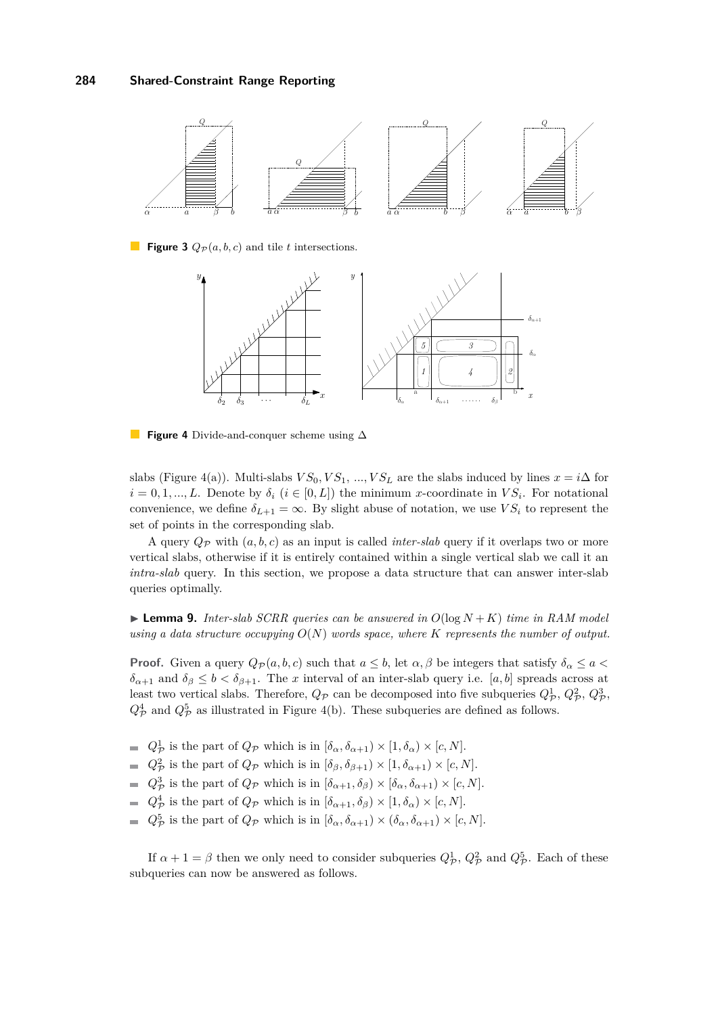<span id="page-7-0"></span>

<span id="page-7-1"></span>**Figure 3**  $Q_{\mathcal{P}}(a, b, c)$  and tile *t* intersections.



 $\mathcal{L}_{\mathcal{A}}$ **Figure 4** Divide-and-conquer scheme using ∆

slabs (Figure [4\(](#page-7-1)a)). Multi-slabs  $VS_0, VS_1, ..., VS_L$  are the slabs induced by lines  $x = i\Delta$  for  $i = 0, 1, \ldots, L$ . Denote by  $\delta_i$  ( $i \in [0, L]$ ) the minimum *x*-coordinate in  $VS_i$ . For notational convenience, we define  $\delta_{L+1} = \infty$ . By slight abuse of notation, we use  $VS_i$  to represent the set of points in the corresponding slab.

A query  $Q_{\mathcal{P}}$  with  $(a, b, c)$  as an input is called *inter-slab* query if it overlaps two or more vertical slabs, otherwise if it is entirely contained within a single vertical slab we call it an *intra-slab* query. In this section, we propose a data structure that can answer inter-slab queries optimally.

<span id="page-7-2"></span> $\blacktriangleright$  **Lemma 9.** *Inter-slab SCRR queries can be answered in*  $O(log N + K)$  *time in RAM model using a data structure occupying O*(*N*) *words space, where K represents the number of output.*

**Proof.** Given a query  $Q_{\mathcal{P}}(a, b, c)$  such that  $a \leq b$ , let  $\alpha, \beta$  be integers that satisfy  $\delta_{\alpha} \leq a <$  $\delta_{\alpha+1}$  and  $\delta_{\beta} \leq b < \delta_{\beta+1}$ . The *x* interval of an inter-slab query i.e. [*a, b*] spreads across at least two vertical slabs. Therefore,  $Q_{\mathcal{P}}$  can be decomposed into five subqueries  $Q_{\mathcal{P}}^1, Q_{\mathcal{P}}^2, Q_{\mathcal{P}}^3$ ,  $Q^4_{\mathcal{P}}$  and  $Q^5_{\mathcal{P}}$  as illustrated in Figure [4\(](#page-7-1)b). These subqueries are defined as follows.

- $Q^1_{\mathcal{P}}$  is the part of  $Q_{\mathcal{P}}$  which is in  $[\delta_{\alpha}, \delta_{\alpha+1}) \times [1, \delta_{\alpha}) \times [c, N]$ .
- $Q^2_{\mathcal{P}}$  is the part of  $Q_{\mathcal{P}}$  which is in  $[\delta_{\beta}, \delta_{\beta+1}) \times [1, \delta_{\alpha+1}) \times [c, N]$ .
- $Q^3_{\mathcal{P}}$  is the part of  $Q_{\mathcal{P}}$  which is in  $[\delta_{\alpha+1}, \delta_{\beta}) \times [\delta_{\alpha}, \delta_{\alpha+1}) \times [c, N]$ .
- $Q^4_{\mathcal{P}}$  is the part of  $Q_{\mathcal{P}}$  which is in  $[\delta_{\alpha+1}, \delta_{\beta}) \times [1, \delta_{\alpha}) \times [c, N]$ .
- $Q^5_{\mathcal{P}}$  is the part of  $Q_{\mathcal{P}}$  which is in  $[\delta_{\alpha}, \delta_{\alpha+1}) \times (\delta_{\alpha}, \delta_{\alpha+1}) \times [c, N]$ .

If  $\alpha + 1 = \beta$  then we only need to consider subqueries  $Q^1_{\mathcal{P}}$ ,  $Q^2_{\mathcal{P}}$  and  $Q^5_{\mathcal{P}}$ . Each of these subqueries can now be answered as follows.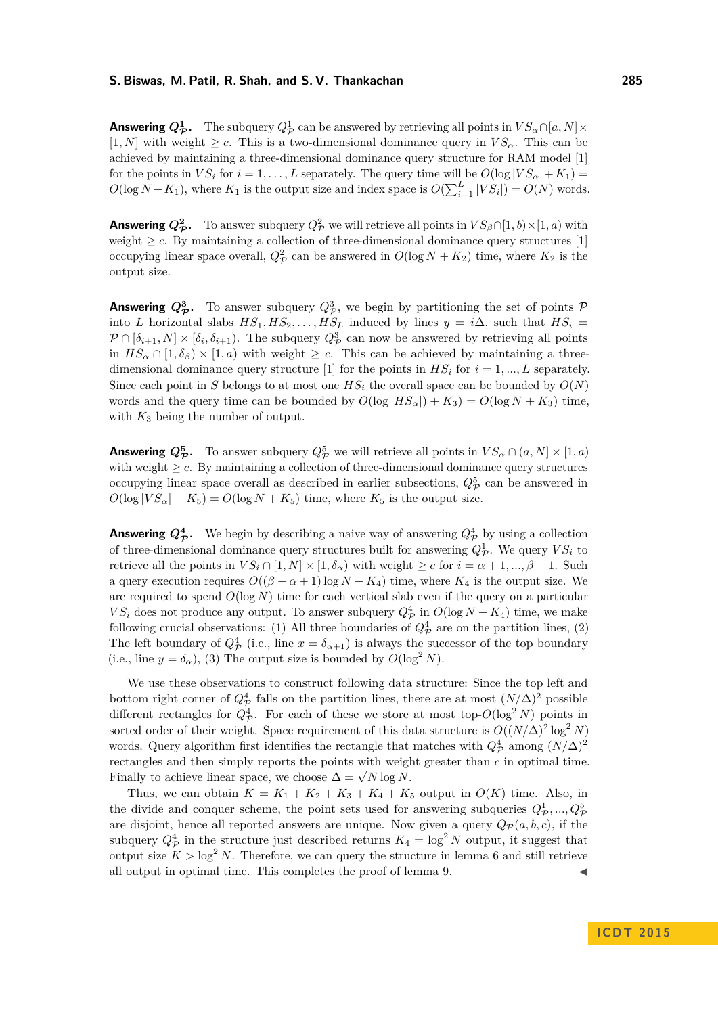**Answering**  $Q^1_{\mathcal{P}}$ . The subquery  $Q^1_{\mathcal{P}}$  can be answered by retrieving all points in  $VS_{\alpha} \cap [a, N] \times$  $[1, N]$  with weight  $\geq c$ . This is a two-dimensional dominance query in  $VS_{\alpha}$ . This can be achieved by maintaining a three-dimensional dominance query structure for RAM model [\[1\]](#page-12-0) for the points in  $VS_i$  for  $i = 1, ..., L$  separately. The query time will be  $O(\log |VS_{\alpha}| + K_1) =$  $O(\log N + K_1)$ , where  $K_1$  is the output size and index space is  $O(\sum_{i=1}^{L} |VS_i|) = O(N)$  words.

**Answering**  $Q^2_{\cal P}$ . To answer subquery  $Q^2_{\cal P}$  we will retrieve all points in  $VS_{\beta} \cap [1, b) \times [1, a)$  with weight  $\geq c$ . By maintaining a collection of three-dimensional dominance query structures [\[1\]](#page-12-0) occupying linear space overall,  $Q_{\mathcal{P}}^2$  can be answered in  $O(\log N + K_2)$  time, where  $K_2$  is the output size.

**Answering**  $Q^3_{\mathcal{P}}$ . To answer subquery  $Q^3_{\mathcal{P}}$ , we begin by partitioning the set of points  $\mathcal P$ into *L* horizontal slabs  $HS_1, HS_2, \ldots, HS_L$  induced by lines  $y = i\Delta$ , such that  $HS_i =$  $P \cap [\delta_{i+1}, N] \times [\delta_i, \delta_{i+1})$ . The subquery  $Q^3_{\mathcal{P}}$  can now be answered by retrieving all points in  $HS_{\alpha} \cap [1, \delta_{\beta}] \times [1, a]$  with weight  $\geq c$ . This can be achieved by maintaining a three-dimensional dominance query structure [\[1\]](#page-12-0) for the points in  $HS_i$  for  $i = 1, ..., L$  separately. Since each point in *S* belongs to at most one  $HS<sub>i</sub>$  the overall space can be bounded by  $O(N)$ words and the query time can be bounded by  $O(\log |HS_{\alpha}|) + K_3) = O(\log N + K_3)$  time, with  $K_3$  being the number of output.

**Answering**  $Q_{\mathcal{P}}^5$ . To answer subquery  $Q_{\mathcal{P}}^5$  we will retrieve all points in  $VS_{\alpha} \cap (a, N] \times [1, a)$ with weight  $\geq c$ . By maintaining a collection of three-dimensional dominance query structures occupying linear space overall as described in earlier subsections,  $Q_{\mathcal{P}}^5$  can be answered in  $O(\log |VS_{\alpha}| + K_5) = O(\log N + K_5)$  time, where  $K_5$  is the output size.

**Answering**  $Q^4_{\mathcal{P}}$ . We begin by describing a naive way of answering  $Q^4_{\mathcal{P}}$  by using a collection of three-dimensional dominance query structures built for answering  $Q_{\mathcal{P}}^1$ . We query  $VS_i$  to retrieve all the points in  $VS_i \cap [1, N] \times [1, \delta_\alpha)$  with weight  $\geq c$  for  $i = \alpha + 1, ..., \beta - 1$ . Such a query execution requires  $O((\beta - \alpha + 1)\log N + K_4)$  time, where  $K_4$  is the output size. We are required to spend  $O(\log N)$  time for each vertical slab even if the query on a particular  $VS_i$  does not produce any output. To answer subquery  $Q^4_{\mathcal{P}}$  in  $O(\log N + K_4)$  time, we make following crucial observations: (1) All three boundaries of  $Q^4_{\mathcal{P}}$  are on the partition lines, (2) The left boundary of  $Q^4_{\mathcal{P}}$  (i.e., line  $x = \delta_{\alpha+1}$ ) is always the successor of the top boundary (i.e., line  $y = \delta_{\alpha}$ ), (3) The output size is bounded by  $O(\log^2 N)$ .

We use these observations to construct following data structure: Since the top left and bottom right corner of  $Q^4_{\cal P}$  falls on the partition lines, there are at most  $(N/\Delta)^2$  possible different rectangles for  $Q^4_{\mathcal{P}}$ . For each of these we store at most top- $O(\log^2 N)$  points in sorted order of their weight. Space requirement of this data structure is  $O((N/\Delta)^2 \log^2 N)$ words. Query algorithm first identifies the rectangle that matches with  $Q^4_{\cal P}$  among  $(N/\Delta)^2$ rectangles and then simply reports the points with weight greater than *c* in optimal time. Finally to achieve linear space, we choose  $\Delta = \sqrt{N} \log N$ .

Thus, we can obtain  $K = K_1 + K_2 + K_3 + K_4 + K_5$  output in  $O(K)$  time. Also, in the divide and conquer scheme, the point sets used for answering subqueries  $Q^1_{\mathcal{P}}, ..., Q^5_{\mathcal{P}}$ are disjoint, hence all reported answers are unique. Now given a query  $Q_{\mathcal{P}}(a, b, c)$ , if the subquery  $Q^4_{\mathcal{P}}$  in the structure just described returns  $K_4 = \log^2 N$  output, it suggest that output size  $K > \log^2 N$ . Therefore, we can query the structure in lemma [6](#page-5-3) and still retrieve all output in optimal time. This completes the proof of lemma [9.](#page-7-2)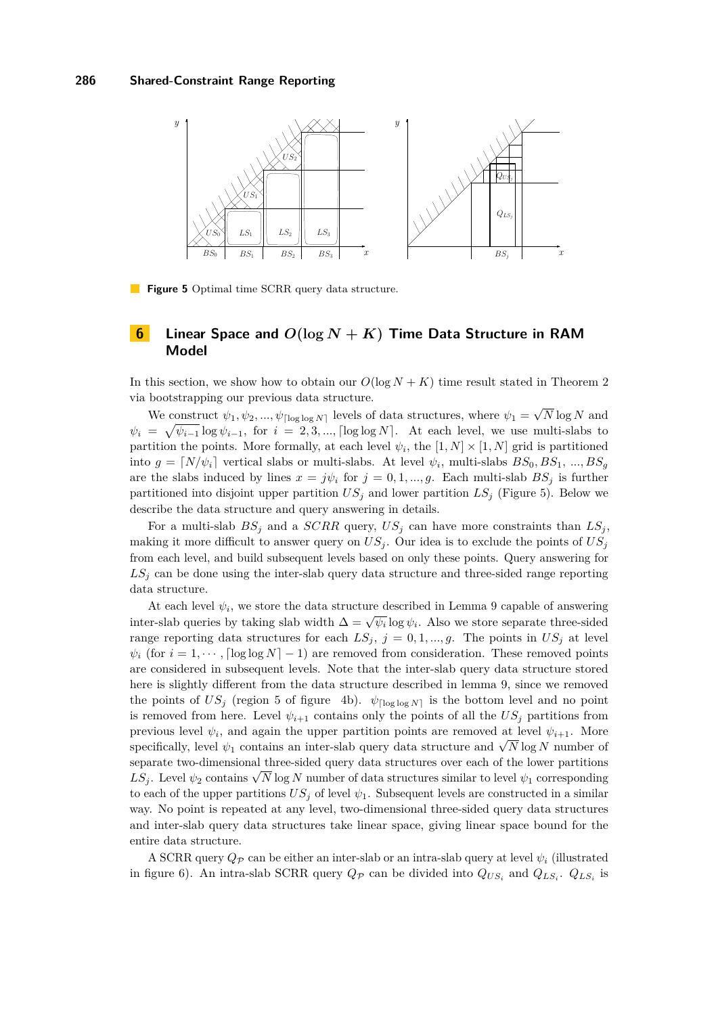<span id="page-9-1"></span>

**Figure 5** Optimal time SCRR query data structure.

# <span id="page-9-0"></span>**6 Linear Space and** *O***(log** *N* **+** *K***) Time Data Structure in RAM Model**

In this section, we show how to obtain our  $O(\log N + K)$  time result stated in Theorem [2](#page-1-0) via bootstrapping our previous data structure. √

We construct  $\psi_1, \psi_2, ..., \psi_{\lceil \log \log N \rceil}$  levels of data structures, where  $\psi_1 =$ *N* log *N* and  $\psi_i = \sqrt{\psi_{i-1}} \log \psi_{i-1}$ , for  $i = 2, 3, ..., \lfloor \log \log N \rfloor$ . At each level, we use multi-slabs to partition the points. More formally, at each level  $\psi_i$ , the  $[1, N] \times [1, N]$  grid is partitioned into  $g = [N/\psi_i]$  vertical slabs or multi-slabs. At level  $\psi_i$ , multi-slabs  $BS_0, BS_1, ..., BS_g$ are the slabs induced by lines  $x = j\psi_i$  for  $j = 0, 1, ..., g$ . Each multi-slab  $BS_j$  is further partitioned into disjoint upper partition  $US_j$  and lower partition  $LS_j$  (Figure [5\)](#page-9-1). Below we describe the data structure and query answering in details.

For a multi-slab  $BS_j$  and a  $SCRR$  query,  $US_j$  can have more constraints than  $LS_j$ , making it more difficult to answer query on  $US_j$ . Our idea is to exclude the points of  $US_j$ from each level, and build subsequent levels based on only these points. Query answering for  $LS<sub>j</sub>$  can be done using the inter-slab query data structure and three-sided range reporting data structure.

At each level  $\psi_i$ , we store the data structure described in Lemma [9](#page-7-2) capable of answering inter-slab queries by taking slab width  $\Delta = \sqrt{\psi_i} \log \psi_i$ . Also we store separate three-sided range reporting data structures for each  $LS_j$ ,  $j = 0, 1, ..., g$ . The points in  $US_j$  at level  $\psi_i$  (for  $i = 1, \dots$ ,  $\lceil \log \log N \rceil - 1$ ) are removed from consideration. These removed points are considered in subsequent levels. Note that the inter-slab query data structure stored here is slightly different from the data structure described in lemma [9,](#page-7-2) since we removed the points of  $US_j$  (region 5 of figure [4b](#page-7-1)).  $\psi_{\lceil \log \log N \rceil}$  is the bottom level and no point is removed from here. Level  $\psi_{i+1}$  contains only the points of all the  $US_i$  partitions from previous level  $\psi_i$ , and again the upper partition points are removed at level  $\psi_{i+1}$ . More  $\psi_{i+1}$ . Such  $\psi_i$ , and again the upper partition points are removed at lever  $\psi_{i+1}$ . More specifically, level  $\psi_1$  contains an inter-slab query data structure and  $\sqrt{N}$  log *N* number of separate two-dimensional three-sided query data structures over each of the lower partitions  $LS_j$ . Level  $ψ_2$  contains  $\sqrt{N}$  log *N* number of data structures similar to level  $ψ_1$  corresponding to each of the upper partitions  $US_j$  of level  $\psi_1$ . Subsequent levels are constructed in a similar way. No point is repeated at any level, two-dimensional three-sided query data structures and inter-slab query data structures take linear space, giving linear space bound for the entire data structure.

A SCRR query  $Q_{\mathcal{P}}$  can be either an inter-slab or an intra-slab query at level  $\psi_i$  (illustrated in figure [6\)](#page-11-0). An intra-slab SCRR query  $Q_{\mathcal{P}}$  can be divided into  $Q_{US_i}$  and  $Q_{LS_i}$ .  $Q_{LS_i}$  is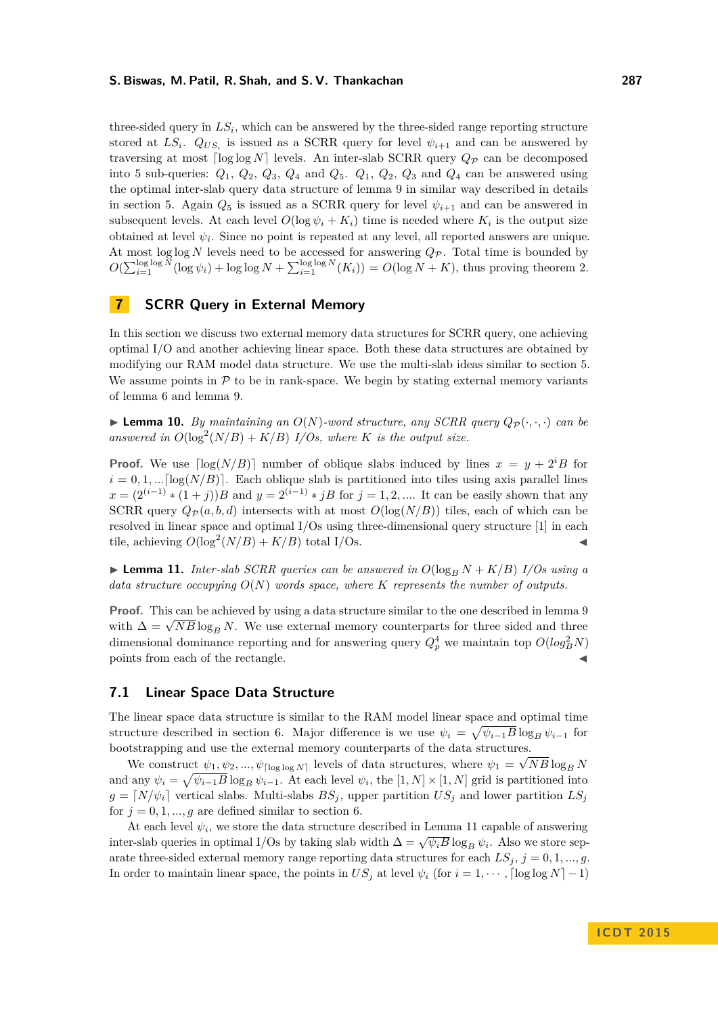three-sided query in  $LS_i$ , which can be answered by the three-sided range reporting structure stored at  $LS_i$ .  $Q_{US_i}$  is issued as a SCRR query for level  $\psi_{i+1}$  and can be answered by traversing at most  $\lceil \log \log N \rceil$  levels. An inter-slab SCRR query  $Q_{\mathcal{P}}$  can be decomposed into 5 sub-queries:  $Q_1$ ,  $Q_2$ ,  $Q_3$ ,  $Q_4$  and  $Q_5$ .  $Q_1$ ,  $Q_2$ ,  $Q_3$  and  $Q_4$  can be answered using the optimal inter-slab query data structure of lemma [9](#page-7-2) in similar way described in details in section [5.](#page-6-0) Again  $Q_5$  is issued as a SCRR query for level  $\psi_{i+1}$  and can be answered in subsequent levels. At each level  $O(\log \psi_i + K_i)$  time is needed where  $K_i$  is the output size obtained at level  $\psi_i$ . Since no point is repeated at any level, all reported answers are unique. At most log log *N* levels need to be accessed for answering  $Q_{\mathcal{P}}$ . Total time is bounded by  $O(\sum_{i=1}^{\log \log N} (\log \psi_i) + \log \log N + \sum_{i=1}^{\log \log N} (K_i)) = O(\log N + K)$ , thus proving theorem [2.](#page-1-0)

# <span id="page-10-0"></span>**7 SCRR Query in External Memory**

In this section we discuss two external memory data structures for SCRR query, one achieving optimal I/O and another achieving linear space. Both these data structures are obtained by modifying our RAM model data structure. We use the multi-slab ideas similar to section [5.](#page-6-0) We assume points in  $P$  to be in rank-space. We begin by stating external memory variants of lemma [6](#page-5-3) and lemma [9.](#page-7-2)

**Example 10.** By maintaining an  $O(N)$ -word structure, any SCRR query  $Q_{\mathcal{P}}(\cdot, \cdot, \cdot)$  can be answered in  $O(\log^2(N/B) + K/B)$  *I/Os, where K* is the output size.

**Proof.** We use  $\lceil \log(N/B) \rceil$  number of oblique slabs induced by lines  $x = y + 2^{i}B$  for  $i = 0, 1, \ldots \lceil \log(N/B) \rceil$ . Each oblique slab is partitioned into tiles using axis parallel lines *x* =  $(2^{(i-1)} * (1 + j))B$  and *y* =  $2^{(i-1)} * jB$  for *j* = 1*,* 2*, ....* It can be easily shown that any SCRR query  $Q_{\mathcal{P}}(a, b, d)$  intersects with at most  $O(\log(N/B))$  tiles, each of which can be resolved in linear space and optimal I/Os using three-dimensional query structure [\[1\]](#page-12-0) in each tile, achieving  $O(\log^2(N/B) + K/B)$  total I/Os.

<span id="page-10-1"></span>**Lemma 11.** *Inter-slab SCRR queries can be answered in*  $O(\log_B N + K/B)$  *I/Os using a data structure occupying O*(*N*) *words space, where K represents the number of outputs.*

**Proof.** This can be achieved by using a data structure similar to the one described in lemma [9](#page-7-2) **Proof.** This can be achieved by using a data structure similar to the one described in lemma s with  $\Delta = \sqrt{NB} \log_B N$ . We use external memory counterparts for three sided and three dimensional dominance reporting and for answering query  $Q_p^4$  we maintain top  $O(log_B^2 N)$ points from each of the rectangle.

# **7.1 Linear Space Data Structure**

The linear space data structure is similar to the RAM model linear space and optimal time structure described in section [6.](#page-9-0) Major difference is we use  $\psi_i = \sqrt{\psi_{i-1}B} \log_B \psi_{i-1}$  for bootstrapping and use the external memory counterparts of the data structures. √

We construct  $\psi_1, \psi_2, ..., \psi_{\lceil \log \log N \rceil}$  levels of data structures, where  $\psi_1 = \sqrt{NB \log_B N}$ and any  $\psi_i = \sqrt{\psi_{i-1}B} \log_B \psi_{i-1}$ . At each level  $\psi_i$ , the  $[1, N] \times [1, N]$  grid is partitioned into  $g = [N/\psi_i]$  vertical slabs. Multi-slabs  $BS_j$ , upper partition  $US_j$  and lower partition  $LS_j$ for  $j = 0, 1, \ldots, g$  are defined similar to section [6.](#page-9-0)

At each level  $\psi_i$ , we store the data structure described in Lemma [11](#page-10-1) capable of answering inter-slab queries in optimal I/Os by taking slab width  $\Delta = \sqrt{\psi_i B} \log_B \psi_i$ . Also we store separate three-sided external memory range reporting data structures for each  $LS_j$ ,  $j = 0, 1, ..., g$ . In order to maintain linear space, the points in  $US_j$  at level  $\psi_i$  (for  $i = 1, \dots, \lceil \log \log N \rceil - 1$ )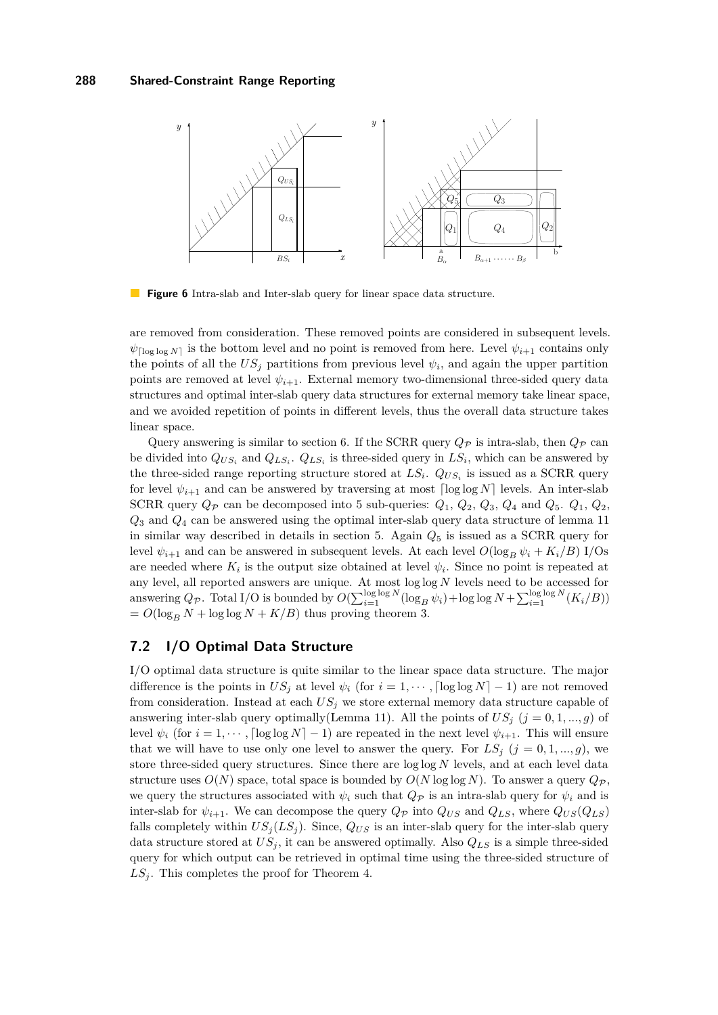<span id="page-11-0"></span>

**Figure 6** Intra-slab and Inter-slab query for linear space data structure.

are removed from consideration. These removed points are considered in subsequent levels.  $\psi_{\lceil \log \log N \rceil}$  is the bottom level and no point is removed from here. Level  $\psi_{i+1}$  contains only the points of all the  $US_j$  partitions from previous level  $\psi_i$ , and again the upper partition points are removed at level  $\psi_{i+1}$ . External memory two-dimensional three-sided query data structures and optimal inter-slab query data structures for external memory take linear space, and we avoided repetition of points in different levels, thus the overall data structure takes linear space.

Query answering is similar to section [6.](#page-9-0) If the SCRR query  $Q_{\mathcal{P}}$  is intra-slab, then  $Q_{\mathcal{P}}$  can be divided into  $Q_{US_i}$  and  $Q_{LS_i}$ .  $Q_{LS_i}$  is three-sided query in  $LS_i$ , which can be answered by the three-sided range reporting structure stored at  $LS_i$ .  $Q_{US_i}$  is issued as a SCRR query for level  $\psi_{i+1}$  and can be answered by traversing at most  $\lceil \log \log N \rceil$  levels. An inter-slab SCRR query  $Q_p$  can be decomposed into 5 sub-queries:  $Q_1$ ,  $Q_2$ ,  $Q_3$ ,  $Q_4$  and  $Q_5$ .  $Q_1$ ,  $Q_2$ , *Q*<sup>3</sup> and *Q*<sup>4</sup> can be answered using the optimal inter-slab query data structure of lemma [11](#page-10-1) in similar way described in details in section [5.](#page-6-0) Again  $Q_5$  is issued as a SCRR query for level  $\psi_{i+1}$  and can be answered in subsequent levels. At each level  $O(\log_B \psi_i + K_i/B)$  I/Os are needed where  $K_i$  is the output size obtained at level  $\psi_i$ . Since no point is repeated at any level, all reported answers are unique. At most log log *N* levels need to be accessed for answering  $Q_{\mathcal{P}}$ . Total I/O is bounded by  $O(\sum_{i=1}^{\log \log N} (\log_B \psi_i) + \log \log N + \sum_{i=1}^{\log \log N} (K_i/B))$  $= O(\log_B N + \log \log N + K/B)$  thus proving theorem [3.](#page-1-1)

# **7.2 I/O Optimal Data Structure**

I/O optimal data structure is quite similar to the linear space data structure. The major difference is the points in  $US_j$  at level  $\psi_i$  (for  $i = 1, \dots, \lceil \log \log N \rceil - 1$ ) are not removed from consideration. Instead at each *US<sup>j</sup>* we store external memory data structure capable of answering inter-slab query optimally(Lemma [11\)](#page-10-1). All the points of  $US_j$  ( $j = 0, 1, ..., g$ ) of level  $\psi_i$  (for  $i = 1, \dots, \lceil \log \log N \rceil - 1$ ) are repeated in the next level  $\psi_{i+1}$ . This will ensure that we will have to use only one level to answer the query. For  $LS_j$   $(j = 0, 1, ..., g)$ , we store three-sided query structures. Since there are log log *N* levels, and at each level data structure uses  $O(N)$  space, total space is bounded by  $O(N \log \log N)$ . To answer a query  $Q_{\mathcal{P}}$ , we query the structures associated with  $\psi_i$  such that  $Q_p$  is an intra-slab query for  $\psi_i$  and is inter-slab for  $\psi_{i+1}$ . We can decompose the query  $Q_{\mathcal{P}}$  into  $Q_{US}$  and  $Q_{LS}$ , where  $Q_{US}(Q_{LS})$ falls completely within  $US_j(LS_j)$ . Since,  $Q_{US}$  is an inter-slab query for the inter-slab query data structure stored at  $US_j$ , it can be answered optimally. Also  $Q_{LS}$  is a simple three-sided query for which output can be retrieved in optimal time using the three-sided structure of  $LS<sub>j</sub>$ . This completes the proof for Theorem [4.](#page-1-2)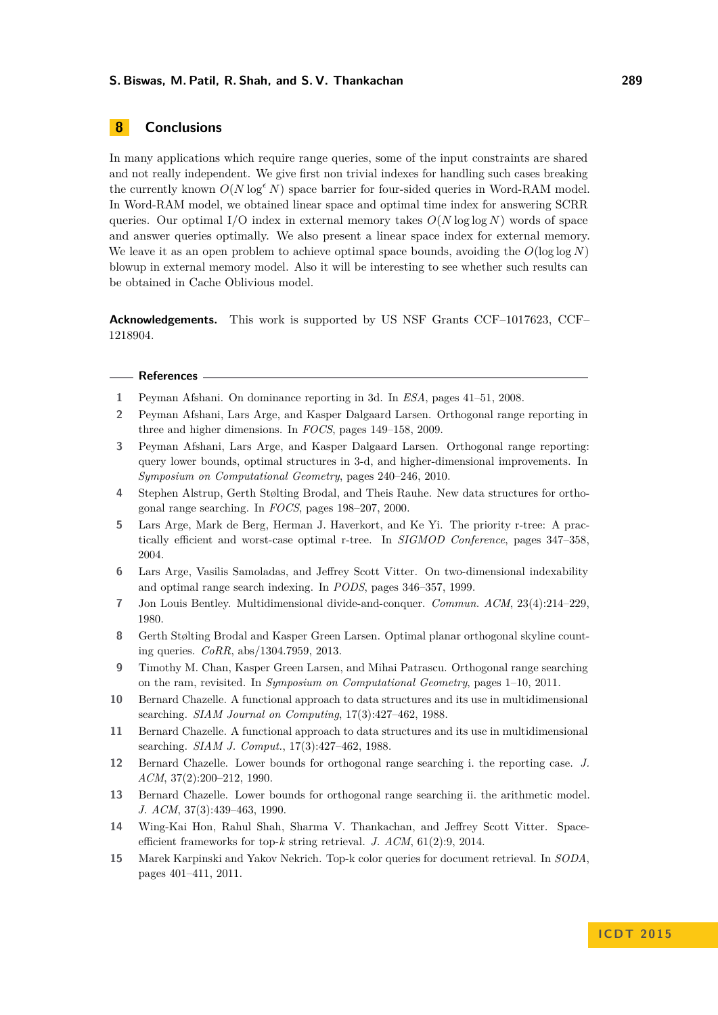# **8 Conclusions**

In many applications which require range queries, some of the input constraints are shared and not really independent. We give first non trivial indexes for handling such cases breaking the currently known  $O(N \log^{\epsilon} N)$  space barrier for four-sided queries in Word-RAM model. In Word-RAM model, we obtained linear space and optimal time index for answering SCRR queries. Our optimal I/O index in external memory takes *O*(*N* log log *N*) words of space and answer queries optimally. We also present a linear space index for external memory. We leave it as an open problem to achieve optimal space bounds, avoiding the  $O(\log \log N)$ blowup in external memory model. Also it will be interesting to see whether such results can be obtained in Cache Oblivious model.

**Acknowledgements.** This work is supported by US NSF Grants CCF–1017623, CCF– 1218904.

#### **References**

- <span id="page-12-0"></span>**1** Peyman Afshani. On dominance reporting in 3d. In *ESA*, pages 41–51, 2008.
- <span id="page-12-3"></span>**2** Peyman Afshani, Lars Arge, and Kasper Dalgaard Larsen. Orthogonal range reporting in three and higher dimensions. In *FOCS*, pages 149–158, 2009.
- <span id="page-12-4"></span>**3** Peyman Afshani, Lars Arge, and Kasper Dalgaard Larsen. Orthogonal range reporting: query lower bounds, optimal structures in 3-d, and higher-dimensional improvements. In *Symposium on Computational Geometry*, pages 240–246, 2010.
- <span id="page-12-5"></span>**4** Stephen Alstrup, Gerth Stølting Brodal, and Theis Rauhe. New data structures for orthogonal range searching. In *FOCS*, pages 198–207, 2000.
- <span id="page-12-11"></span>**5** Lars Arge, Mark de Berg, Herman J. Haverkort, and Ke Yi. The priority r-tree: A practically efficient and worst-case optimal r-tree. In *SIGMOD Conference*, pages 347–358, 2004.
- <span id="page-12-2"></span>**6** Lars Arge, Vasilis Samoladas, and Jeffrey Scott Vitter. On two-dimensional indexability and optimal range search indexing. In *PODS*, pages 346–357, 1999.
- <span id="page-12-10"></span>**7** Jon Louis Bentley. Multidimensional divide-and-conquer. *Commun. ACM*, 23(4):214–229, 1980.
- <span id="page-12-14"></span>**8** Gerth Stølting Brodal and Kasper Green Larsen. Optimal planar orthogonal skyline counting queries. *CoRR*, abs/1304.7959, 2013.
- <span id="page-12-9"></span>**9** Timothy M. Chan, Kasper Green Larsen, and Mihai Patrascu. Orthogonal range searching on the ram, revisited. In *Symposium on Computational Geometry*, pages 1–10, 2011.
- <span id="page-12-1"></span>**10** Bernard Chazelle. A functional approach to data structures and its use in multidimensional searching. *SIAM Journal on Computing*, 17(3):427–462, 1988.
- <span id="page-12-6"></span>**11** Bernard Chazelle. A functional approach to data structures and its use in multidimensional searching. *SIAM J. Comput.*, 17(3):427–462, 1988.
- <span id="page-12-7"></span>**12** Bernard Chazelle. Lower bounds for orthogonal range searching i. the reporting case. *J. ACM*, 37(2):200–212, 1990.
- <span id="page-12-8"></span>**13** Bernard Chazelle. Lower bounds for orthogonal range searching ii. the arithmetic model. *J. ACM*, 37(3):439–463, 1990.
- <span id="page-12-13"></span>**14** Wing-Kai Hon, Rahul Shah, Sharma V. Thankachan, and Jeffrey Scott Vitter. Spaceefficient frameworks for top-*k* string retrieval. *J. ACM*, 61(2):9, 2014.
- <span id="page-12-12"></span>**15** Marek Karpinski and Yakov Nekrich. Top-k color queries for document retrieval. In *SODA*, pages 401–411, 2011.